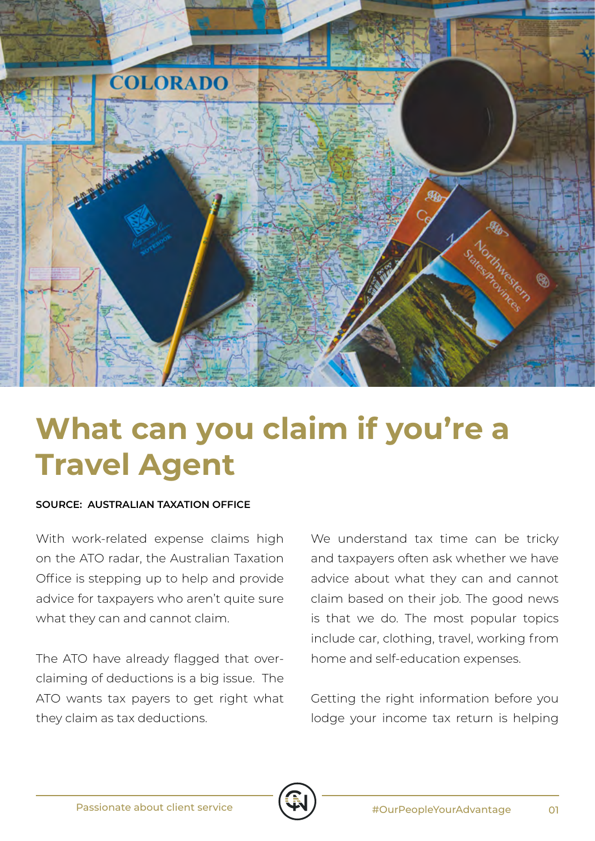

## **What can you claim if you're a Travel Agent**

## **SOURCE: AUSTRALIAN TAXATION OFFICE**

With work-related expense claims high on the ATO radar, the Australian Taxation Office is stepping up to help and provide advice for taxpayers who aren't quite sure what they can and cannot claim.

The ATO have already flagged that overclaiming of deductions is a big issue. The ATO wants tax payers to get right what they claim as tax deductions.

We understand tax time can be tricky and taxpayers often ask whether we have advice about what they can and cannot claim based on their job. The good news is that we do. The most popular topics include car, clothing, travel, working from home and self-education expenses.

Getting the right information before you lodge your income tax return is helping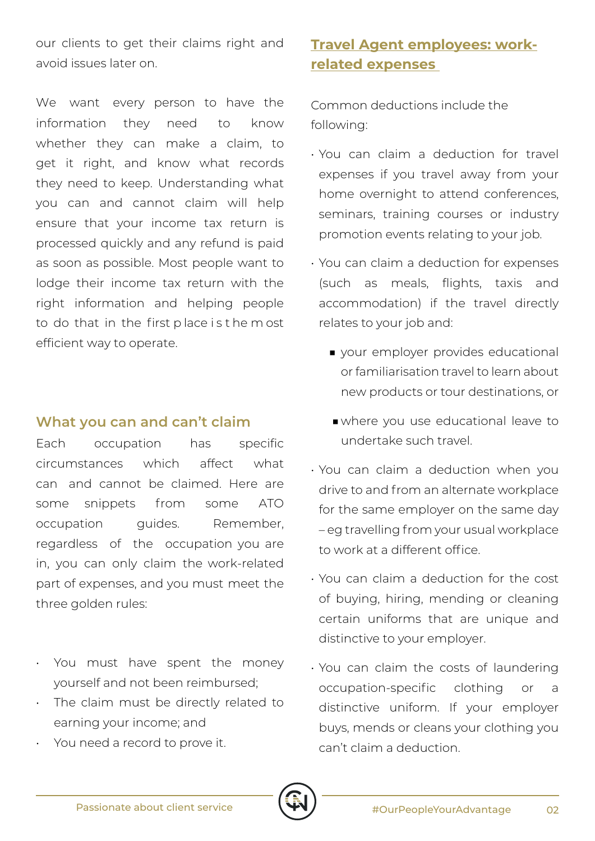our clients to get their claims right and avoid issues later on.

We want every person to have the information they need to know whether they can make a claim, to get it right, and know what records they need to keep. Understanding what you can and cannot claim will help ensure that your income tax return is processed quickly and any refund is paid as soon as possible. Most people want to lodge their income tax return with the right information and helping people to do that in the first p lace i s t he m ost efficient way to operate.

## **What you can and can't claim**

Each occupation has specific circumstances which affect what can and cannot be claimed. Here are some snippets from some ATO occupation quides. Remember, regardless of the occupation you are in, you can only claim the work-related part of expenses, and you must meet the three golden rules:

- You must have spent the money yourself and not been reimbursed;
- The claim must be directly related to earning your income; and
- You need a record to prove it.

## **Travel Agent employees: workrelated expenses**

Common deductions include the following:

- You can claim a deduction for travel expenses if you travel away from your home overnight to attend conferences, seminars, training courses or industry promotion events relating to your job.
- You can claim a deduction for expenses (such as meals, flights, taxis and accommodation) if the travel directly relates to your job and:
	- your employer provides educational or familiarisation travel to learn about new products or tour destinations, or
	- ■where you use educational leave to undertake such travel.
- You can claim a deduction when you drive to and from an alternate workplace for the same employer on the same day – eg travelling from your usual workplace to work at a different office.
- You can claim a deduction for the cost of buying, hiring, mending or cleaning certain uniforms that are unique and distinctive to your employer.
- You can claim the costs of laundering occupation-specific clothing or a distinctive uniform. If your employer buys, mends or cleans your clothing you can't claim a deduction.